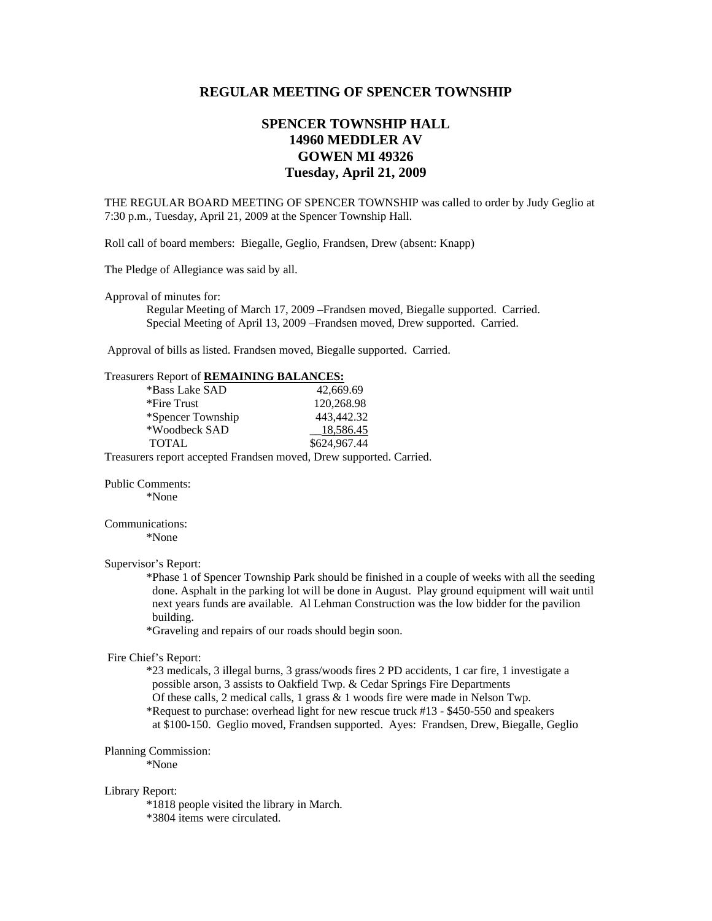# **REGULAR MEETING OF SPENCER TOWNSHIP**

# **SPENCER TOWNSHIP HALL 14960 MEDDLER AV GOWEN MI 49326 Tuesday, April 21, 2009**

THE REGULAR BOARD MEETING OF SPENCER TOWNSHIP was called to order by Judy Geglio at 7:30 p.m., Tuesday, April 21, 2009 at the Spencer Township Hall.

Roll call of board members: Biegalle, Geglio, Frandsen, Drew (absent: Knapp)

The Pledge of Allegiance was said by all.

Approval of minutes for:

 Regular Meeting of March 17, 2009 –Frandsen moved, Biegalle supported. Carried. Special Meeting of April 13, 2009 –Frandsen moved, Drew supported. Carried.

Approval of bills as listed. Frandsen moved, Biegalle supported. Carried.

| *Bass Lake SAD                                            | 42,669.69    |
|-----------------------------------------------------------|--------------|
| *Fire Trust                                               | 120,268.98   |
| *Spencer Township                                         | 443.442.32   |
| *Woodbeck SAD                                             | 18,586.45    |
| <b>TOTAL</b>                                              | \$624,967.44 |
| Treesware report essented Frendsen moved Drew supported C |              |

Treasurers report accepted Frandsen moved, Drew supported. Carried.

Public Comments:

\*None

# Communications:

\*None

# Supervisor's Report:

 \*Phase 1 of Spencer Township Park should be finished in a couple of weeks with all the seeding done. Asphalt in the parking lot will be done in August. Play ground equipment will wait until next years funds are available. Al Lehman Construction was the low bidder for the pavilion building.

\*Graveling and repairs of our roads should begin soon.

### Fire Chief's Report:

 \*23 medicals, 3 illegal burns, 3 grass/woods fires 2 PD accidents, 1 car fire, 1 investigate a possible arson, 3 assists to Oakfield Twp. & Cedar Springs Fire Departments Of these calls, 2 medical calls, 1 grass & 1 woods fire were made in Nelson Twp. \*Request to purchase: overhead light for new rescue truck #13 - \$450-550 and speakers

at \$100-150. Geglio moved, Frandsen supported. Ayes: Frandsen, Drew, Biegalle, Geglio

#### Planning Commission:

\*None

#### Library Report:

\*1818 people visited the library in March.

\*3804 items were circulated.